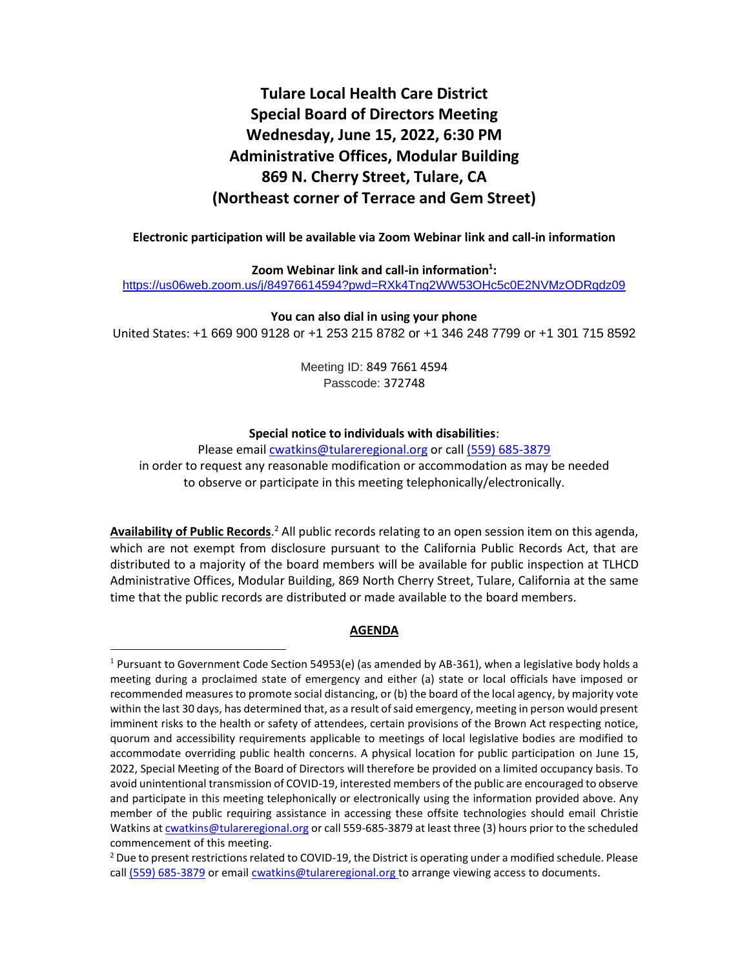# **Tulare Local Health Care District Special Board of Directors Meeting Wednesday, June 15, 2022, 6:30 PM Administrative Offices, Modular Building 869 N. Cherry Street, Tulare, CA (Northeast corner of Terrace and Gem Street)**

**Electronic participation will be available via Zoom Webinar link and call-in information**

**Zoom Webinar link and call-in information<sup>1</sup> :** <https://us06web.zoom.us/j/84976614594?pwd=RXk4Tng2WW53OHc5c0E2NVMzODRqdz09>

**You can also dial in using your phone** United States: +1 669 900 9128 or +1 253 215 8782 or +1 346 248 7799 or +1 301 715 8592

> Meeting ID: 849 7661 4594 Passcode: 372748

#### **Special notice to individuals with disabilities**:

Please email [cwatkins@tulareregional.org](mailto:cwatkins@tulareregional.org) or call (559) 685-3879 in order to request any reasonable modification or accommodation as may be needed to observe or participate in this meeting telephonically/electronically.

Availability of Public Records.<sup>2</sup> All public records relating to an open session item on this agenda, which are not exempt from disclosure pursuant to the California Public Records Act, that are distributed to a majority of the board members will be available for public inspection at TLHCD Administrative Offices, Modular Building, 869 North Cherry Street, Tulare, California at the same time that the public records are distributed or made available to the board members.

#### **AGENDA**

 $1$  Pursuant to Government Code Section 54953(e) (as amended by AB-361), when a legislative body holds a meeting during a proclaimed state of emergency and either (a) state or local officials have imposed or recommended measures to promote social distancing, or (b) the board of the local agency, by majority vote within the last 30 days, has determined that, as a result of said emergency, meeting in person would present imminent risks to the health or safety of attendees, certain provisions of the Brown Act respecting notice, quorum and accessibility requirements applicable to meetings of local legislative bodies are modified to accommodate overriding public health concerns. A physical location for public participation on June 15, 2022, Special Meeting of the Board of Directors will therefore be provided on a limited occupancy basis. To avoid unintentional transmission of COVID-19, interested members of the public are encouraged to observe and participate in this meeting telephonically or electronically using the information provided above. Any member of the public requiring assistance in accessing these offsite technologies should email Christie Watkins a[t cwatkins@tulareregional.org](mailto:cwatkins@tulareregional.org) or call 559-685-3879 at least three (3) hours prior to the scheduled commencement of this meeting.

 $^2$  Due to present restrictions related to COVID-19, the District is operating under a modified schedule. Please call (559) 685-3879 or email [cwatkins@tulareregional.org](mailto:cwatkins@tulareregional.org) to arrange viewing access to documents.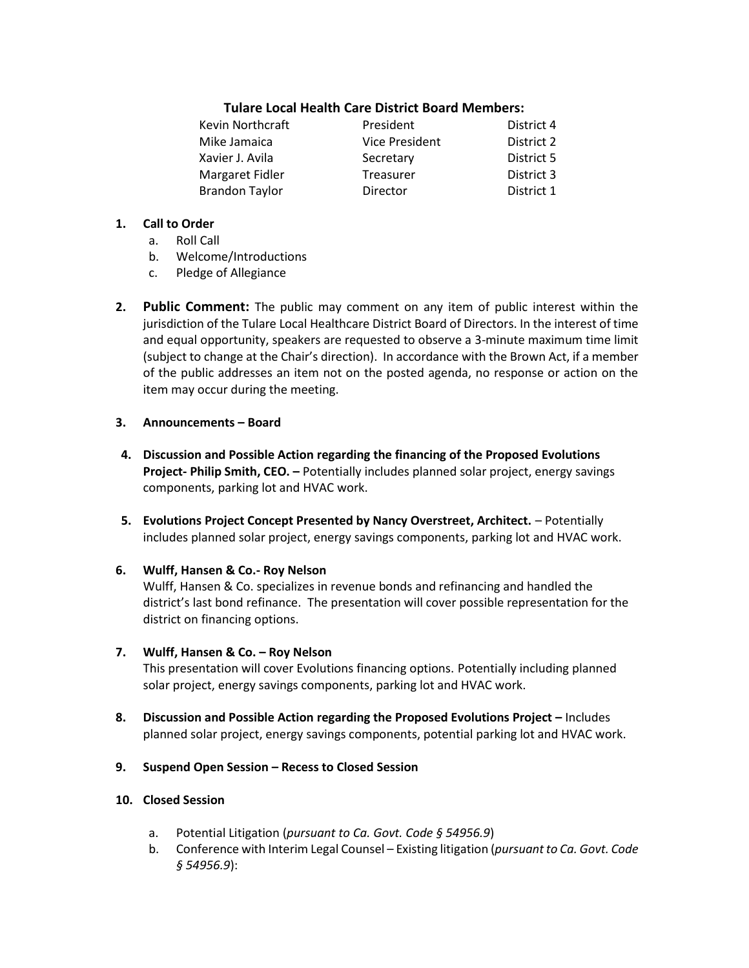## **Tulare Local Health Care District Board Members:**

| President             | District 4 |
|-----------------------|------------|
| <b>Vice President</b> | District 2 |
| Secretary             | District 5 |
| Treasurer             | District 3 |
| Director              | District 1 |
|                       |            |

#### **1. Call to Order**

- a. Roll Call
- b. Welcome/Introductions
- c. Pledge of Allegiance
- **2. Public Comment:** The public may comment on any item of public interest within the jurisdiction of the Tulare Local Healthcare District Board of Directors. In the interest of time and equal opportunity, speakers are requested to observe a 3-minute maximum time limit (subject to change at the Chair's direction). In accordance with the Brown Act, if a member of the public addresses an item not on the posted agenda, no response or action on the item may occur during the meeting.

#### **3. Announcements – Board**

- **4. Discussion and Possible Action regarding the financing of the Proposed Evolutions Project- Philip Smith, CEO. –** Potentially includes planned solar project, energy savings components, parking lot and HVAC work.
- **5. Evolutions Project Concept Presented by Nancy Overstreet, Architect.** Potentially includes planned solar project, energy savings components, parking lot and HVAC work.
- **6. Wulff, Hansen & Co.- Roy Nelson**

Wulff, Hansen & Co. specializes in revenue bonds and refinancing and handled the district's last bond refinance. The presentation will cover possible representation for the district on financing options.

#### **7. Wulff, Hansen & Co. – Roy Nelson**

This presentation will cover Evolutions financing options. Potentially including planned solar project, energy savings components, parking lot and HVAC work.

- **8. Discussion and Possible Action regarding the Proposed Evolutions Project –** Includes planned solar project, energy savings components, potential parking lot and HVAC work.
- **9. Suspend Open Session – Recess to Closed Session**

### **10. Closed Session**

- a. Potential Litigation (*pursuant to Ca. Govt. Code § 54956.9*)
- b. Conference with Interim Legal Counsel Existing litigation (*pursuant to Ca. Govt. Code § 54956.9*):